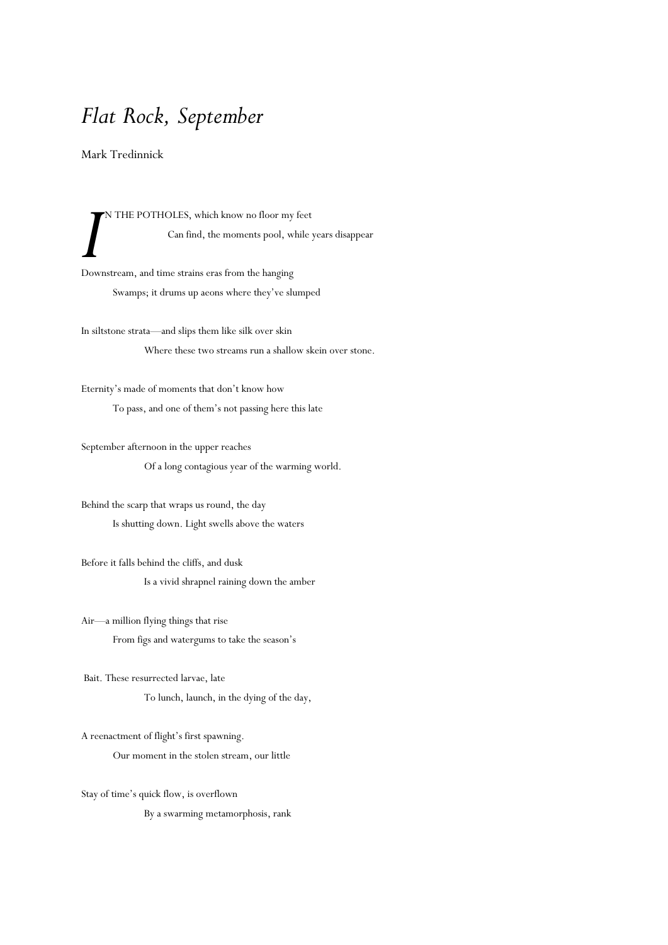## *Flat Rock, September*

Mark Tredinnick

N THE POTHOLES, which know no floor my feet Can find, the moments pool, while years disappear I<sup>I</sup>N THE POTHOLES, which know no floor my<br>
Can find, the moments pool, w<br>
Downstream, and time strains eras from the hanging

Swamps; it drums up aeons where they've slumped

In siltstone strata—and slips them like silk over skin Where these two streams run a shallow skein over stone.

Eternity's made of moments that don't know how To pass, and one of them's not passing here this late

September afternoon in the upper reaches Of a long contagious year of the warming world.

Behind the scarp that wraps us round, the day Is shutting down. Light swells above the waters

Before it falls behind the cliffs, and dusk Is a vivid shrapnel raining down the amber

Air—a million flying things that rise From figs and watergums to take the season's

Bait. These resurrected larvae, late To lunch, launch, in the dying of the day,

A reenactment of flight's first spawning. Our moment in the stolen stream, our little

Stay of time's quick flow, is overflown By a swarming metamorphosis, rank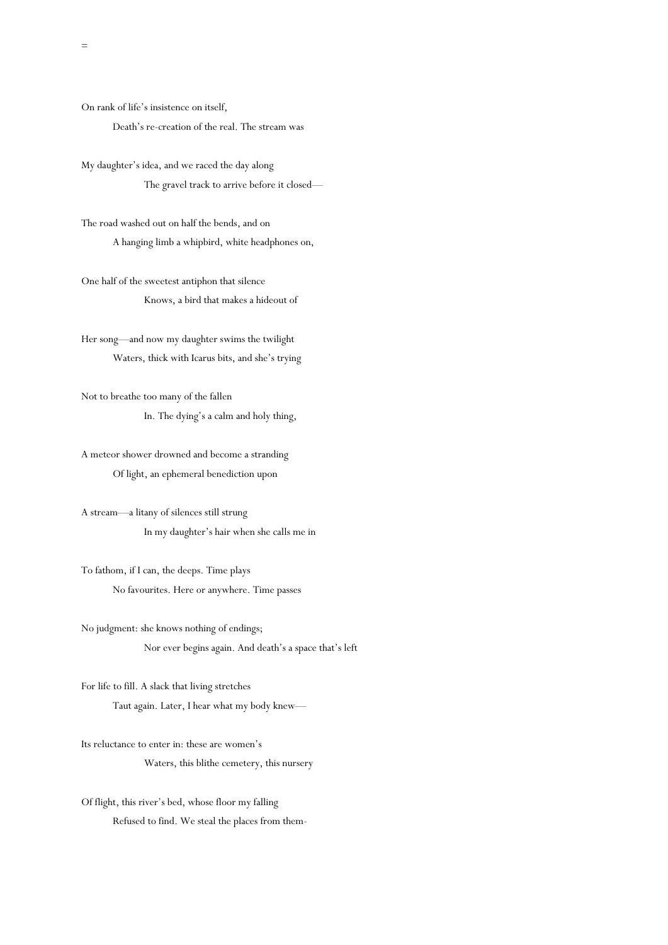On rank of life's insistence on itself, Death's re-creation of the real. The stream was

My daughter's idea, and we raced the day along The gravel track to arrive before it closed—

The road washed out on half the bends, and on A hanging limb a whipbird, white headphones on,

One half of the sweetest antiphon that silence Knows, a bird that makes a hideout of

Her song—and now my daughter swims the twilight Waters, thick with Icarus bits, and she's trying

Not to breathe too many of the fallen In. The dying's a calm and holy thing,

A meteor shower drowned and become a stranding Of light, an ephemeral benediction upon

A stream—a litany of silences still strung In my daughter's hair when she calls me in

To fathom, if I can, the deeps. Time plays No favourites. Here or anywhere. Time passes

No judgment: she knows nothing of endings; Nor ever begins again. And death's a space that's left

For life to fill. A slack that living stretches Taut again. Later, I hear what my body knew—

Its reluctance to enter in: these are women's Waters, this blithe cemetery, this nursery

Of flight, this river's bed, whose floor my falling Refused to find. We steal the places from them